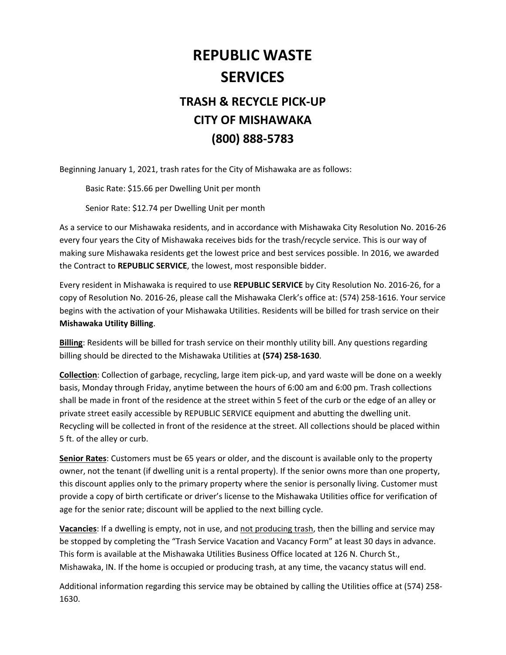## **REPUBLIC WASTE SERVICES**

## **TRASH & RECYCLE PICK‐UP CITY OF MISHAWAKA (800) 888‐5783**

Beginning January 1, 2021, trash rates for the City of Mishawaka are as follows:

Basic Rate: \$15.66 per Dwelling Unit per month

Senior Rate: \$12.74 per Dwelling Unit per month

As a service to our Mishawaka residents, and in accordance with Mishawaka City Resolution No. 2016‐26 every four years the City of Mishawaka receives bids for the trash/recycle service. This is our way of making sure Mishawaka residents get the lowest price and best services possible. In 2016, we awarded the Contract to **REPUBLIC SERVICE**, the lowest, most responsible bidder.

Every resident in Mishawaka is required to use **REPUBLIC SERVICE** by City Resolution No. 2016‐26, for a copy of Resolution No. 2016‐26, please call the Mishawaka Clerk's office at: (574) 258‐1616. Your service begins with the activation of your Mishawaka Utilities. Residents will be billed for trash service on their **Mishawaka Utility Billing**.

**Billing**: Residents will be billed for trash service on their monthly utility bill. Any questions regarding billing should be directed to the Mishawaka Utilities at **(574) 258‐1630**.

**Collection**: Collection of garbage, recycling, large item pick‐up, and yard waste will be done on a weekly basis, Monday through Friday, anytime between the hours of 6:00 am and 6:00 pm. Trash collections shall be made in front of the residence at the street within 5 feet of the curb or the edge of an alley or private street easily accessible by REPUBLIC SERVICE equipment and abutting the dwelling unit. Recycling will be collected in front of the residence at the street. All collections should be placed within 5 ft. of the alley or curb.

**Senior Rates**: Customers must be 65 years or older, and the discount is available only to the property owner, not the tenant (if dwelling unit is a rental property). If the senior owns more than one property, this discount applies only to the primary property where the senior is personally living. Customer must provide a copy of birth certificate or driver's license to the Mishawaka Utilities office for verification of age for the senior rate; discount will be applied to the next billing cycle.

**Vacancies**: If a dwelling is empty, not in use, and not producing trash, then the billing and service may be stopped by completing the "Trash Service Vacation and Vacancy Form" at least 30 days in advance. This form is available at the Mishawaka Utilities Business Office located at 126 N. Church St., Mishawaka, IN. If the home is occupied or producing trash, at any time, the vacancy status will end.

Additional information regarding this service may be obtained by calling the Utilities office at (574) 258‐ 1630.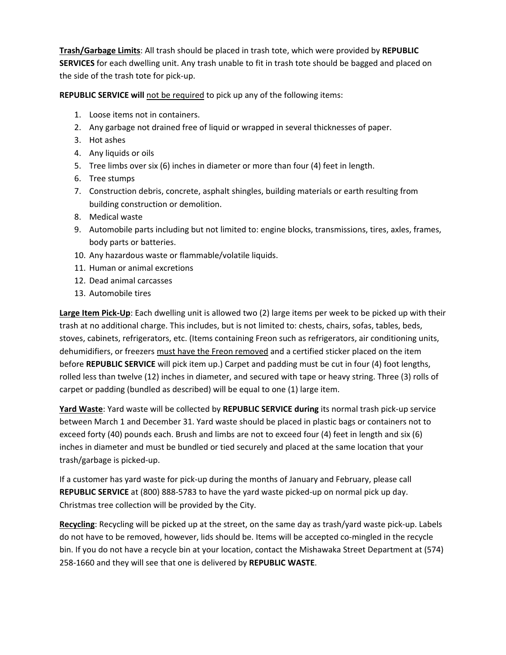**Trash/Garbage Limits**: All trash should be placed in trash tote, which were provided by **REPUBLIC SERVICES** for each dwelling unit. Any trash unable to fit in trash tote should be bagged and placed on the side of the trash tote for pick‐up.

**REPUBLIC SERVICE will** not be required to pick up any of the following items:

- 1. Loose items not in containers.
- 2. Any garbage not drained free of liquid or wrapped in several thicknesses of paper.
- 3. Hot ashes
- 4. Any liquids or oils
- 5. Tree limbs over six (6) inches in diameter or more than four (4) feet in length.
- 6. Tree stumps
- 7. Construction debris, concrete, asphalt shingles, building materials or earth resulting from building construction or demolition.
- 8. Medical waste
- 9. Automobile parts including but not limited to: engine blocks, transmissions, tires, axles, frames, body parts or batteries.
- 10. Any hazardous waste or flammable/volatile liquids.
- 11. Human or animal excretions
- 12. Dead animal carcasses
- 13. Automobile tires

**Large Item Pick‐Up**: Each dwelling unit is allowed two (2) large items per week to be picked up with their trash at no additional charge. This includes, but is not limited to: chests, chairs, sofas, tables, beds, stoves, cabinets, refrigerators, etc. (Items containing Freon such as refrigerators, air conditioning units, dehumidifiers, or freezers must have the Freon removed and a certified sticker placed on the item before **REPUBLIC SERVICE** will pick item up.) Carpet and padding must be cut in four (4) foot lengths, rolled less than twelve (12) inches in diameter, and secured with tape or heavy string. Three (3) rolls of carpet or padding (bundled as described) will be equal to one (1) large item.

**Yard Waste**: Yard waste will be collected by **REPUBLIC SERVICE during** its normal trash pick‐up service between March 1 and December 31. Yard waste should be placed in plastic bags or containers not to exceed forty (40) pounds each. Brush and limbs are not to exceed four (4) feet in length and six (6) inches in diameter and must be bundled or tied securely and placed at the same location that your trash/garbage is picked‐up.

If a customer has yard waste for pick‐up during the months of January and February, please call **REPUBLIC SERVICE** at (800) 888‐5783 to have the yard waste picked‐up on normal pick up day. Christmas tree collection will be provided by the City.

**Recycling**: Recycling will be picked up at the street, on the same day as trash/yard waste pick‐up. Labels do not have to be removed, however, lids should be. Items will be accepted co-mingled in the recycle bin. If you do not have a recycle bin at your location, contact the Mishawaka Street Department at (574) 258‐1660 and they will see that one is delivered by **REPUBLIC WASTE**.